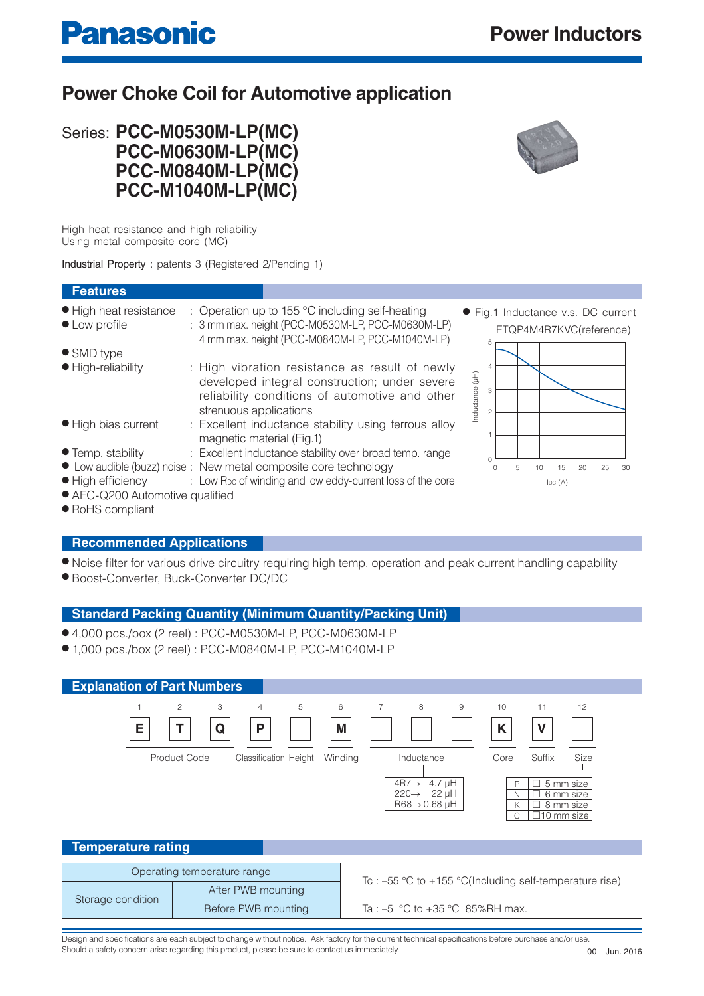## **Power Choke Coil for Automotive application**



High heat resistance and high reliability Using metal composite core (MC)

**Panasonic** 

Industrial Property : patents 3 (Registered 2/Pending 1)

#### **Features** ● High heat resistance : Operation up to 155 °C including self-heating ● Fig.1 Inductance v.s. DC current ● Low profile : 3 mm max. height (PCC-M0530M-LP, PCC-M0630M-LP) ETQP4M4R7KVC(reference) 4 mm max. height (PCC-M0840M-LP, PCC-M1040M-LP) 5 ● SMD type ● High-reliability : High vibration resistance as result of newly 4 nductance (µH) Inductance (µH) developed integral construction; under severe 3 reliability conditions of automotive and other strenuous applications 2 ● High bias current : Excellent inductance stability using ferrous alloy 1 magnetic material (Fig.1) ● Temp. stability : Excellent inductance stability over broad temp. range  $\Omega$ ● Low audible (buzz) noise : New metal composite core technology 0 30 5 10 15 20 25 • High efficiency : Low R<sub>DC</sub> of winding and low eddy-current loss of the core  $IDC(A)$ ● AEC-Q200 Automotive qualified

● RoHS compliant

#### **Recommended Applications**

- Noise filter for various drive circuitry requiring high temp. operation and peak current handling capability
- Boost-Converter, Buck-Converter DC/DC

#### **Standard Packing Quantity (Minimum Quantity/Packing Unit)**

- 4,000 pcs./box (2 reel) : PCC-M0530M-LP, PCC-M0630M-LP
- 1,000 pcs./box (2 reel) : PCC-M0840M-LP, PCC-M1040M-LP

| <b>Explanation of Part Numbers</b>                                                                               |                                                                                                                                                                                                                                                                                               |  |  |  |  |  |  |
|------------------------------------------------------------------------------------------------------------------|-----------------------------------------------------------------------------------------------------------------------------------------------------------------------------------------------------------------------------------------------------------------------------------------------|--|--|--|--|--|--|
| 5<br>$\overline{c}$<br>3<br>$\overline{4}$<br>E<br>Q<br>P<br><b>Product Code</b><br><b>Classification Height</b> | 6<br>8<br>$\overline{7}$<br>9<br>10<br>11<br>12<br>M<br>K<br>V<br>Suffix<br>Size<br>Winding<br>Inductance<br>Core<br>$4R7 \rightarrow 4.7 \mu H$<br>5 mm size<br>٦<br>$\mathsf{P}$<br>220→ 22 µH<br>6 mm size<br>N<br>$R68 \rightarrow 0.68$ µH<br>8 mm size<br>Κ<br>$\Box$ 10 mm size l<br>С |  |  |  |  |  |  |
| <b>Temperature rating</b>                                                                                        |                                                                                                                                                                                                                                                                                               |  |  |  |  |  |  |
| Operating temperature range<br>$\sim$ $\sim$ $\sim$ $\sim$ $\sim$ $\sim$ $\sim$                                  | Tc : $-55$ °C to $+155$ °C(Including self-temperature rise)                                                                                                                                                                                                                                   |  |  |  |  |  |  |

|                   | After PWB mounting  | Tc : $-55$ °C to $+155$ °C(Including self-temperature rise) |  |  |  |
|-------------------|---------------------|-------------------------------------------------------------|--|--|--|
| Storage condition | Before PWB mounting | Ta : $-5$ °C to +35 °C 85%RH max.                           |  |  |  |
|                   |                     |                                                             |  |  |  |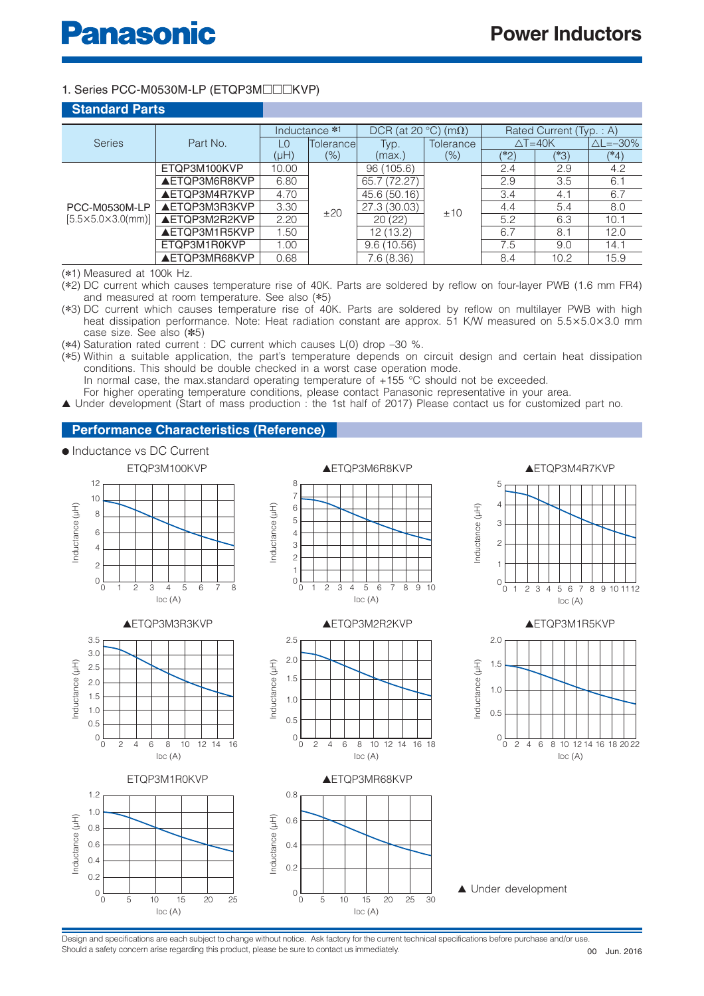#### 1. Series PCC-M0530M-LP (ETQP3M□□□KVP)

| <b>Standard Parts</b>                  |                      |       |               |                   |             |                         |                     |                        |
|----------------------------------------|----------------------|-------|---------------|-------------------|-------------|-------------------------|---------------------|------------------------|
|                                        |                      |       | Inductance *1 | DCR (at $20 °C$ ) | $(m\Omega)$ | Rated Current (Typ.: A) |                     |                        |
| <b>Series</b>                          | Part No.             | L0    | Tolerance     | Typ.              | Tolerance   |                         | $\triangle T = 40K$ | $\triangle$ L= $-30\%$ |
|                                        |                      | (µH)  | (% )          | (max.)            | (%)         | $(*\overline{2})$       | (*3)                | $(*4)$                 |
|                                        | ETQP3M100KVP         | 10.00 |               | 96 (105.6)        | ±10         | 2.4                     | 2.9                 | 4.2                    |
|                                        | <b>AETQP3M6R8KVP</b> | 6.80  |               | 65.7 (72.27)      |             | 2.9                     | 3.5                 | 6.1                    |
|                                        | AETQP3M4R7KVP        | 4.70  |               | 45.6 (50.16)      |             | 3.4                     | 4.1                 | 6.7                    |
| PCC-M0530M-LP                          | <b>AETQP3M3R3KVP</b> | 3.30  | ±20           | 27.3 (30.03)      |             | 4.4                     | 5.4                 | 8.0                    |
| $[5.5 \times 5.0 \times 3.0 \times 1]$ | <b>AETQP3M2R2KVP</b> | 2.20  |               | 20(22)            |             | 5.2                     | 6.3                 | 10.1                   |
|                                        | <b>AETQP3M1R5KVP</b> | 1.50  |               | 12 (13.2)         |             | 6.7                     | 8.1                 | 12.0                   |
|                                        | ETQP3M1R0KVP         | 1.00  |               | 9.6(10.56)        |             | 7.5                     | 9.0                 | 14.1                   |
|                                        | <b>AETQP3MR68KVP</b> | 0.68  |               | 7.6 (8.36)        |             | 8.4                     | 10.2                | 15.9                   |

(✽1) Measured at 100k Hz.

(✽2) DC current which causes temperature rise of 40K. Parts are soldered by reflow on four-layer PWB (1.6 mm FR4) and measured at room temperature. See also (✽5)

- (✽3) DC current which causes temperature rise of 40K. Parts are soldered by reflow on multilayer PWB with high heat dissipation performance. Note: Heat radiation constant are approx. 51 K/W measured on 5.5×5.0×3.0 mm case size. See also (✽5)
- (✽4) Saturation rated current : DC current which causes L(0) drop –30 %.

(✽5) Within a suitable application, the part's temperature depends on circuit design and certain heat dissipation conditions. This should be double checked in a worst case operation mode. In normal case, the max standard operating temperature of +155 °C should not be exceeded. For higher operating temperature conditions, please contact Panasonic representative in your area.

▲ Under development (Start of mass production : the 1st half of 2017) Please contact us for customized part no.

#### **Performance Characteristics (Reference)**

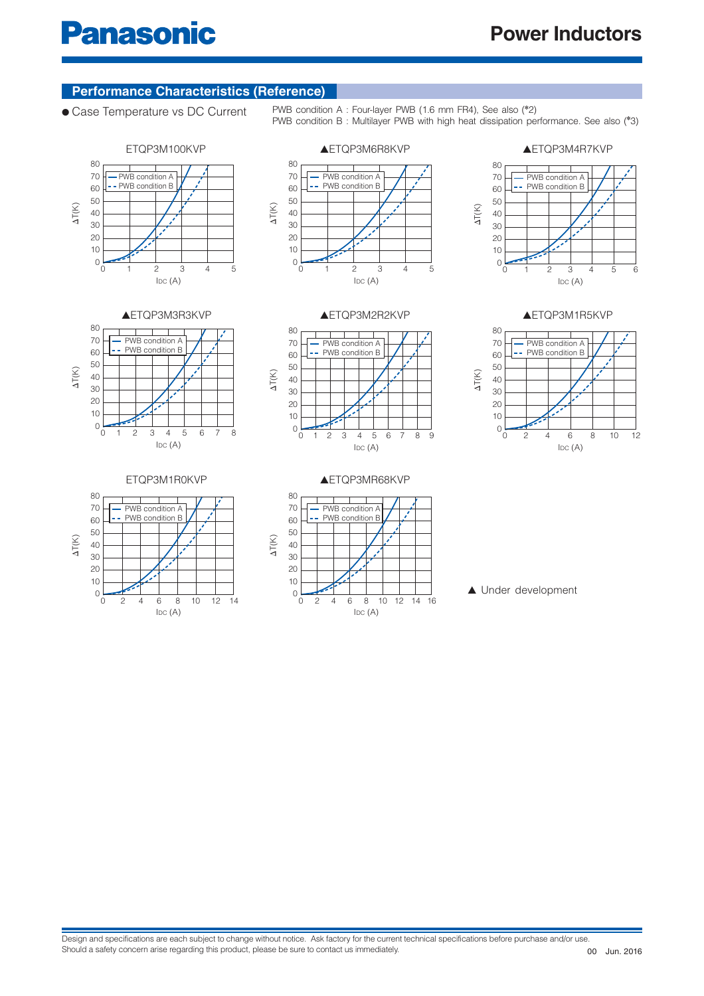#### **Performance Characteristics (Reference)**

● Case Temperature vs DC Current PWB condition A : Four-layer PWB (1.6 mm FR4), See also (<sup>\*2</sup>)





PWB condition B : Multilayer PWB with high heat dissipation performance. See also (✽ 3)





ETQP3M1R0KVP







▲ETQP3M1R5KVP



▲ETQP3MR68KVP



▲ Under development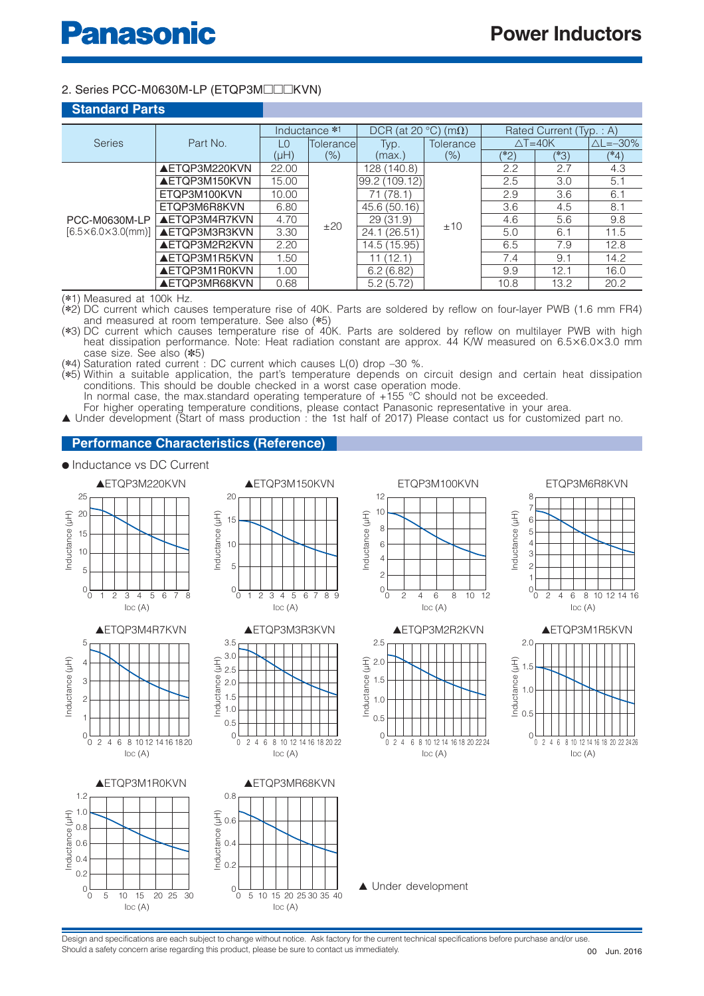#### 2. Series PCC-M0630M-LP (ETQP3M□□□KVN)

| <b>Standard Parts</b>              |                      |                               |               |                     |                  |                         |                     |                        |
|------------------------------------|----------------------|-------------------------------|---------------|---------------------|------------------|-------------------------|---------------------|------------------------|
|                                    |                      |                               | Inductance *1 | $DCR$ (at 20 $°C$ ) | $(m\Omega)$      | Rated Current (Typ.: A) |                     |                        |
| <b>Series</b>                      | Part No.             | $\overline{1}$ $\overline{0}$ | Tolerancel    | Typ.                | <b>Tolerance</b> |                         | $\triangle T = 40K$ | $\triangle$ L= $-30\%$ |
|                                    |                      | $(H\cup$                      | $(\% )$       | (max.)              | $(\% )$          | $(*2)$                  | (*3)                | $(*4)$                 |
|                                    | <b>AETQP3M220KVN</b> | 22.00                         |               | 128 (140.8)         |                  | 2.2                     | 2.7                 | 4.3                    |
|                                    | AETOP3M150KVN        | 15.00                         |               | 99.2(109.12)        | ±10              | 2.5                     | 3.0                 | 5.1                    |
|                                    | ETQP3M100KVN         | 10.00                         |               | 71 (78.1)           |                  | 2.9                     | 3.6                 | 6.1                    |
|                                    | ETOP3M6R8KVN         | 6.80                          |               | 45.6 (50.16)        |                  | 3.6                     | 4.5                 | 8.1                    |
| PCC-M0630M-LP                      | AETOP3M4R7KVN        | 4.70                          | ±20           | 29(31.9)            |                  | 4.6                     | 5.6                 | 9.8                    |
| $[6.5 \times 6.0 \times 3.0$ (mm)] | <b>AETOP3M3R3KVN</b> | 3.30                          |               | 24.1 (26.51)        |                  | 5.0                     | 6.7                 | 11.5                   |
|                                    | AETOP3M2R2KVN        | 2.20                          |               | 14.5 (15.95)        |                  | 6.5                     | 7.9                 | 12.8                   |
|                                    | <b>AETQP3M1R5KVN</b> | 1.50                          |               | 11 (12.1)           |                  | 7.4                     | 9.1                 | 14.2                   |
|                                    | <b>AETQP3M1R0KVN</b> | 1.00                          |               | 6.2(6.82)           |                  | 9.9                     | 12.1                | 16.0                   |
|                                    | <b>AETQP3MR68KVN</b> | 0.68                          |               | 5.2(5.72)           |                  | 10.8                    | 13.2                | 20.2                   |

(✽1) Measured at 100k Hz.

(✽2) DC current which causes temperature rise of 40K. Parts are soldered by reflow on four-layer PWB (1.6 mm FR4) and measured at room temperature. See also (✽5)

(✽3) DC current which causes temperature rise of 40K. Parts are soldered by reflow on multilayer PWB with high heat dissipation performance. Note: Heat radiation constant are approx. 44 K/W measured on 6.5×6.0×3.0 mm case size. See also (✽5)

(✽4) Saturation rated current : DC current which causes L(0) drop –30 %.

(✽5) Within a suitable application, the part's temperature depends on circuit design and certain heat dissipation conditions. This should be double checked in a worst case operation mode.

In normal case, the max standard operating temperature of  $+155$  °C should not be exceeded.

For higher operating temperature conditions, please contact Panasonic representative in your area. ▲ Under development (Start of mass production : the 1st half of 2017) Please contact us for customized part no.

#### **Performance Characteristics (Reference)**

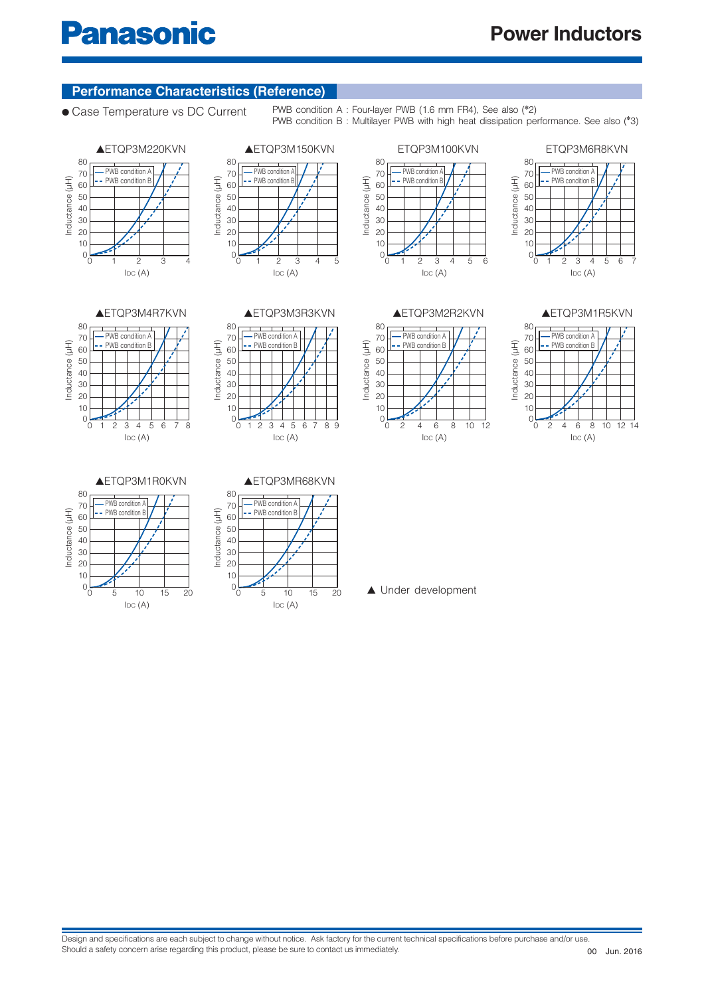# **Panasonic**

### **Performance Characteristics (Reference)**

● Case Temperature vs DC Current PWB condition A : Four-layer PWB (1.6 mm FR4), See also (<sup>\*2</sup>)

PWB condition B : Multilayer PWB with high heat dissipation performance. See also (✽ 3)

ETQP3M100KVN





















#### ▲ETQP3M1R0KVN





▲ Under development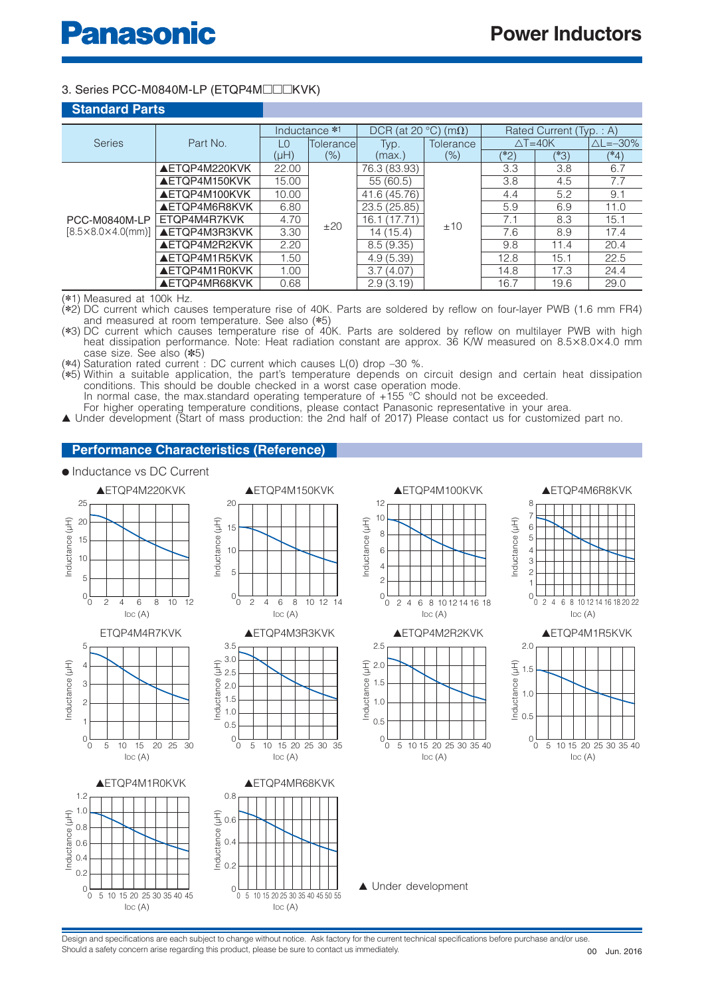#### 3. Series PCC-M0840M-LP (ETQP4M□□□KVK)

| <b>Standard Parts</b>              |                      |          |               |                     |                  |                         |      |                        |
|------------------------------------|----------------------|----------|---------------|---------------------|------------------|-------------------------|------|------------------------|
|                                    |                      |          | Inductance *1 | $DCR$ (at 20 $°C$ ) | $(m\Omega)$      | Rated Current (Typ.: A) |      |                        |
| <b>Series</b>                      | Part No.             | L0       | Tolerance     | Typ.                | <b>Tolerance</b> | $\triangle T = 40K$     |      | $\triangle$ L= $-30\%$ |
|                                    |                      | $(H\cup$ | $(\% )$       | (max.)              | $(\% )$          | $(*2)$                  | (*3) | (*4)                   |
|                                    | AETQP4M220KVK        | 22.00    |               | 76.3 (83.93)        |                  | 3.3                     | 3.8  | 6.7                    |
|                                    | <b>AETQP4M150KVK</b> | 15.00    | ±20           | 55(60.5)            | ±10              | 3.8                     | 4.5  | 7.7                    |
|                                    | <b>AETQP4M100KVK</b> | 10.00    |               | 41.6 (45.76)        |                  | 4.4                     | 5.2  | 9.1                    |
|                                    | <b>AETOP4M6R8KVK</b> | 6.80     |               | 23.5 (25.85)        |                  | 5.9                     | 6.9  | 11.0                   |
| PCC-M0840M-LP                      | ETQP4M4R7KVK         | 4.70     |               | 16.1 (17.71)        |                  | 7.1                     | 8.3  | 15.1                   |
| $[8.5 \times 8.0 \times 4.0$ (mm)] | <b>AETQP4M3R3KVK</b> | 3.30     |               | 14 (15.4)           |                  | 7.6                     | 8.9  | 17.4                   |
|                                    | AETOP4M2R2KVK        | 2.20     |               | 8.5(9.35)           |                  | 9.8                     | 11.4 | 20.4                   |
|                                    | <b>AETOP4M1R5KVK</b> | 1.50     |               | 4.9(5.39)           |                  | 12.8                    | 15.1 | 22.5                   |
|                                    | <b>AETQP4M1R0KVK</b> | 1.00     |               | 3.7(4.07)           |                  | 14.8                    | 17.3 | 24.4                   |
|                                    | <b>AETQP4MR68KVK</b> | 0.68     |               | 2.9(3.19)           |                  | 16.7                    | 19.6 | 29.0                   |

(✽1) Measured at 100k Hz.

(✽2) DC current which causes temperature rise of 40K. Parts are soldered by reflow on four-layer PWB (1.6 mm FR4) and measured at room temperature. See also (✽5)

(✽3) DC current which causes temperature rise of 40K. Parts are soldered by reflow on multilayer PWB with high heat dissipation performance. Note: Heat radiation constant are approx. 36 K/W measured on 8.5×8.0×4.0 mm case size. See also (✽5)

(✽4) Saturation rated current : DC current which causes L(0) drop –30 %.

(✽5) Within a suitable application, the part's temperature depends on circuit design and certain heat dissipation conditions. This should be double checked in a worst case operation mode.

In normal case, the max standard operating temperature of  $+155$  °C should not be exceeded.

For higher operating temperature conditions, please contact Panasonic representative in your area. ▲ Under development (Start of mass production: the 2nd half of 2017) Please contact us for customized part no.

#### **Performance Characteristics (Reference)**

#### ● Inductance vs DC Current

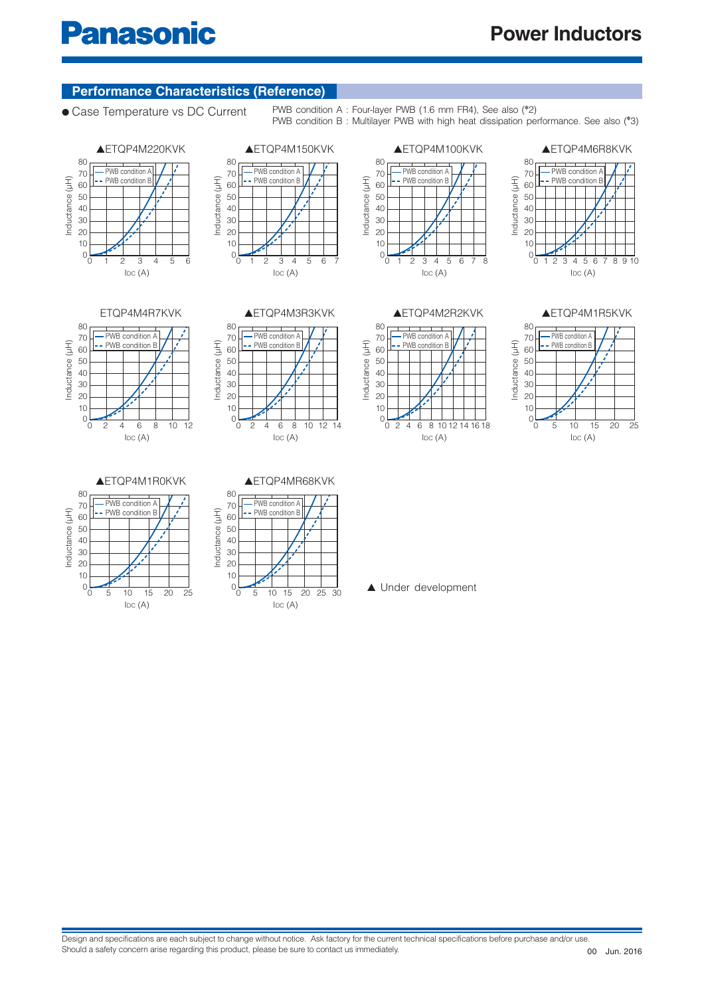#### **Performance Characteristics (Reference)**

● Case Temperature vs DC Current PWB condition A : Four-layer PWB (1.6 mm FR4), See also (<sup>\*2</sup>)

Inductance (µH)

Inductance (µH)

50

70 60 80

 $0\frac{1}{2}$ 

PWB condition B : Multilayer PWB with high heat dissipation performance. See also (✽ 3)













 $IDC(A)$ 

PWB condition PWB condition B

▲ETQP4M100KVK

1 2 3 4 5 6 7 8



 $PWB$  condition  $A$ PWB condition B

▲ETQP4M6R8KVK

50

70 60

80



#### ▲ETQP4M1R0KVK





▲ Under development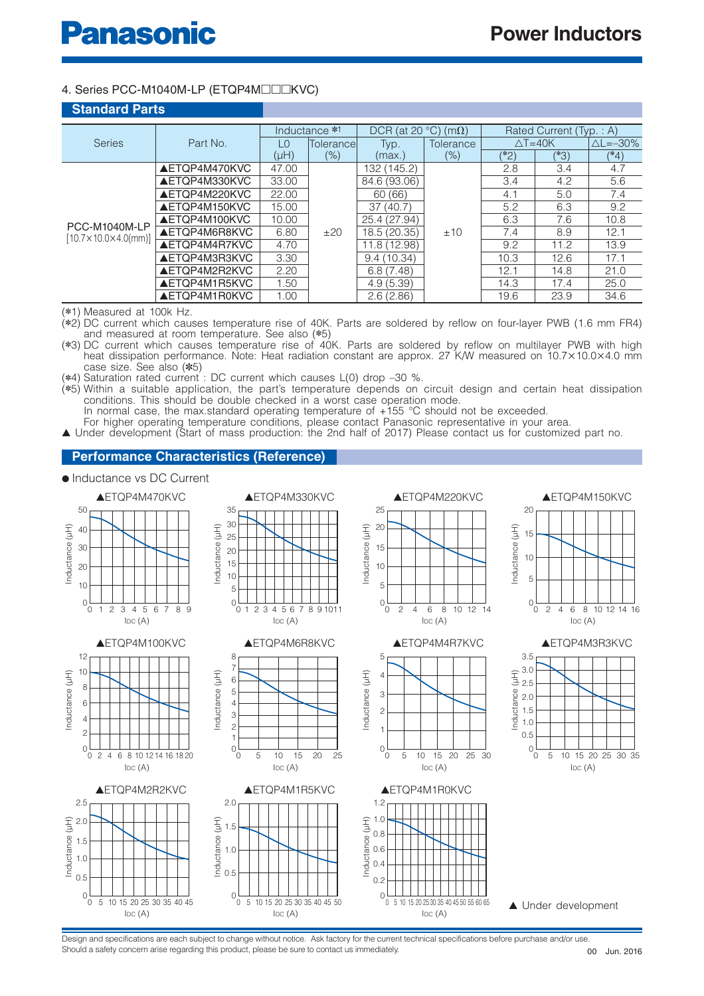#### 4. Series PCC-M1040M-LP (ETQP4M□□□KVC)

| <b>Standard Parts</b>                |                      |                               |               |                     |             |                         |        |                        |
|--------------------------------------|----------------------|-------------------------------|---------------|---------------------|-------------|-------------------------|--------|------------------------|
|                                      |                      |                               | Inductance *1 | $DCR$ (at 20 $°C$ ) | $(m\Omega)$ | Rated Current (Typ.: A) |        |                        |
| <b>Series</b>                        | Part No.             | $\overline{1}$ $\overline{0}$ | Tolerance     | Typ.                | Tolerance   | $\triangle T = 40K$     |        | $\triangle$ L= $-30\%$ |
|                                      |                      | (HH)                          | $(\% )$       | (max.)              | $(\% )$     | $(*2)$                  | $(*3)$ | $(*4)$                 |
|                                      | AETQP4M470KVC        | 47.00                         |               | 132 (145.2)         |             | 2.8                     | 3.4    | 4.7                    |
|                                      | AETQP4M330KVC        | 33.00                         |               | 84.6 (93.06)        | ±10         | 3.4                     | 4.2    | 5.6                    |
|                                      | AETOP4M220KVC        | 22.00                         |               | 60(66)              |             | 4.1                     | 5.0    | 7.4                    |
|                                      | AETQP4M150KVC        | 15.00                         |               | 37(40.7)            |             | 5.2                     | 6.3    | 9.2                    |
| PCC-M1040M-LP                        | AETOP4M100KVC        | 10.00                         |               | 25.4 (27.94)        |             | 6.3                     | 7.6    | 10.8                   |
| $[10.7 \times 10.0 \times 4.0$ (mm)] | AETQP4M6R8KVC        | 6.80                          | ±20           | 18.5 (20.35)        |             | 7.4                     | 8.9    | 12.1                   |
|                                      | AETQP4M4R7KVC        | 4.70                          |               | 11.8 (12.98)        |             | 9.2                     | 11.2   | 13.9                   |
|                                      | <b>AETQP4M3R3KVC</b> | 3.30                          |               | 9.4(10.34)          |             | 10.3                    | 12.6   | 17.1                   |
|                                      | AETOP4M2R2KVC        | 2.20                          |               | 6.8(7.48)           |             | 12.1                    | 14.8   | 21.0                   |
|                                      | AETQP4M1R5KVC        | 1.50                          |               | 4.9(5.39)           |             | 14.3                    | 17.4   | 25.0                   |
|                                      | AETQP4M1R0KVC        | 1.00                          |               | 2.6(2.86)           |             | 19.6                    | 23.9   | 34.6                   |

(✽1) Measured at 100k Hz.

(✽2) DC current which causes temperature rise of 40K. Parts are soldered by reflow on four-layer PWB (1.6 mm FR4) and measured at room temperature. See also (✽5)

(✽3) DC current which causes temperature rise of 40K. Parts are soldered by reflow on multilayer PWB with high heat dissipation performance. Note: Heat radiation constant are approx. 27 K/W measured on 10.7×10.0×4.0 mm case size. See also (✽5)

(✽4) Saturation rated current : DC current which causes L(0) drop –30 %.

(✽5) Within a suitable application, the part's temperature depends on circuit design and certain heat dissipation conditions. This should be double checked in a worst case operation mode.

In normal case, the max standard operating temperature of +155 °C should not be exceeded.

For higher operating temperature conditions, please contact Panasonic representative in your area. ▲ Under development (Start of mass production: the 2nd half of 2017) Please contact us for customized part no.

#### **Performance Characteristics (Reference)**

#### ● Inductance vs DC Current

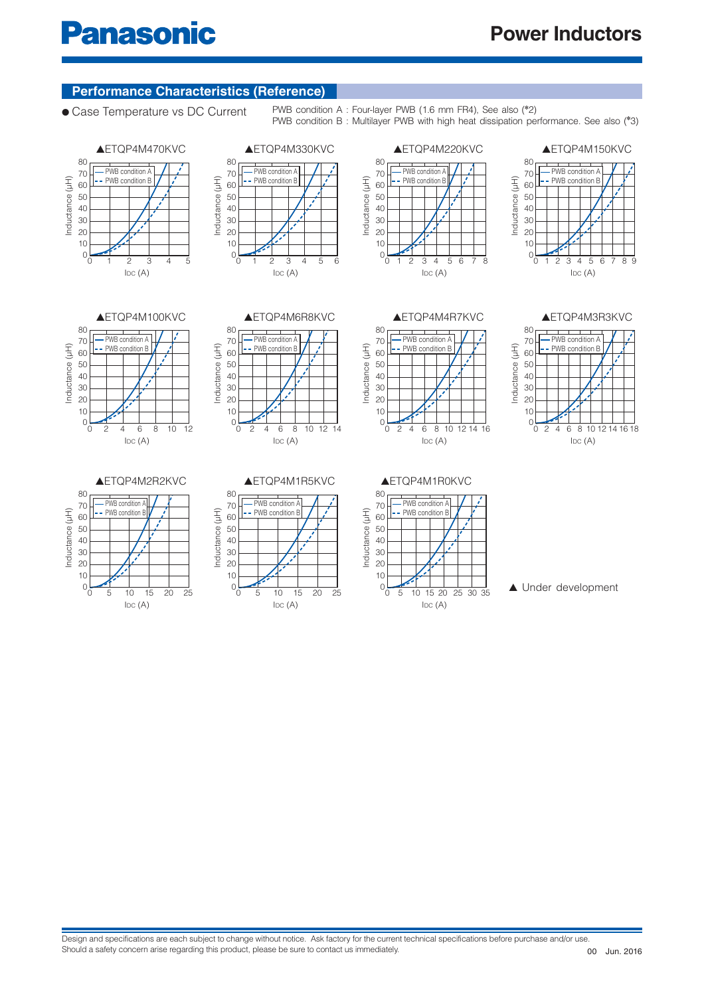#### **Performance Characteristics (Reference)**

● Case Temperature vs DC Current PWB condition A : Four-layer PWB (1.6 mm FR4), See also (<sup>\*2</sup>)

PWB condition B : Multilayer PWB with high heat dissipation performance. See also (✽ 3)







Inductance (µH)

nductance (µH)

50

70 60 80

 $0<sub>0</sub>$ 





PWB condition A PWB condition B

 $IDC(A)$ 

 $2$  4 6 8 10 12 14 16





 $IDC(A)$ 

PWB condition A **PWB** condition **B** 

▲ETQP4M2R2KVC

0 10 20 5 15 25

Inductance (µH)

Inductance (µH)

 $\overline{0}$ 

50

70 60 80









▲ Under development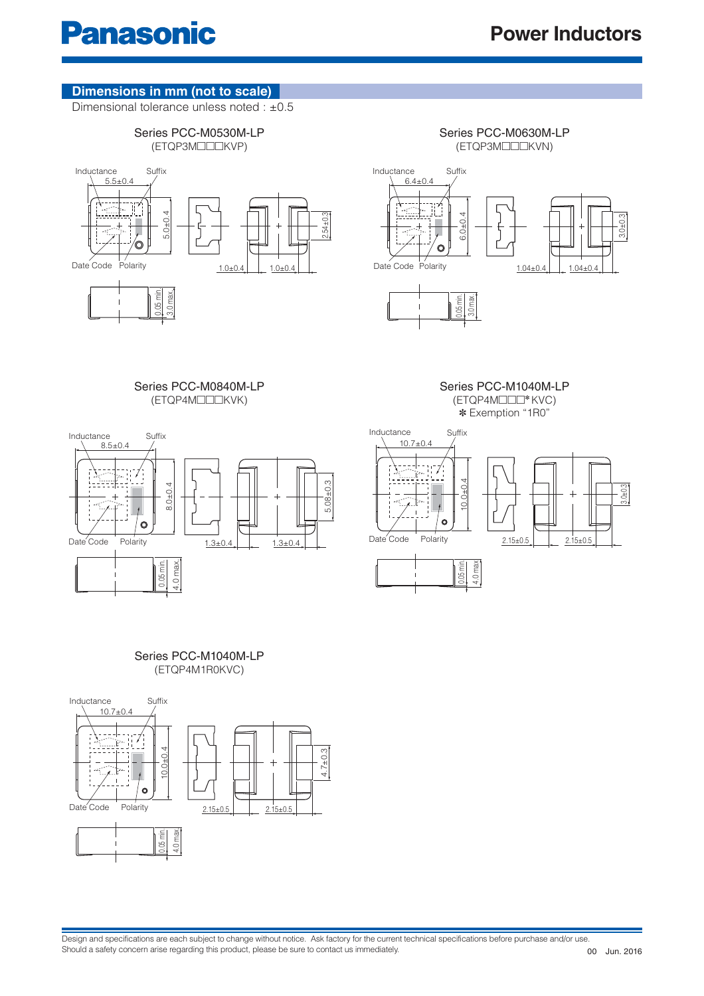#### **Dimensions in mm (not to scale)**

Dimensional tolerance unless noted : +0.5



Series PCC-M0630M-LP (ETQP3M□□□KVN)





Series PCC-M1040M-LP (ETQP4M□□□✽ KVC)



Series PCC-M0840M-LP (ETQP4M□□□KVK)

✽ Exemption "1R0"



#### Series PCC-M1040M-LP (ETQP4M1R0KVC)

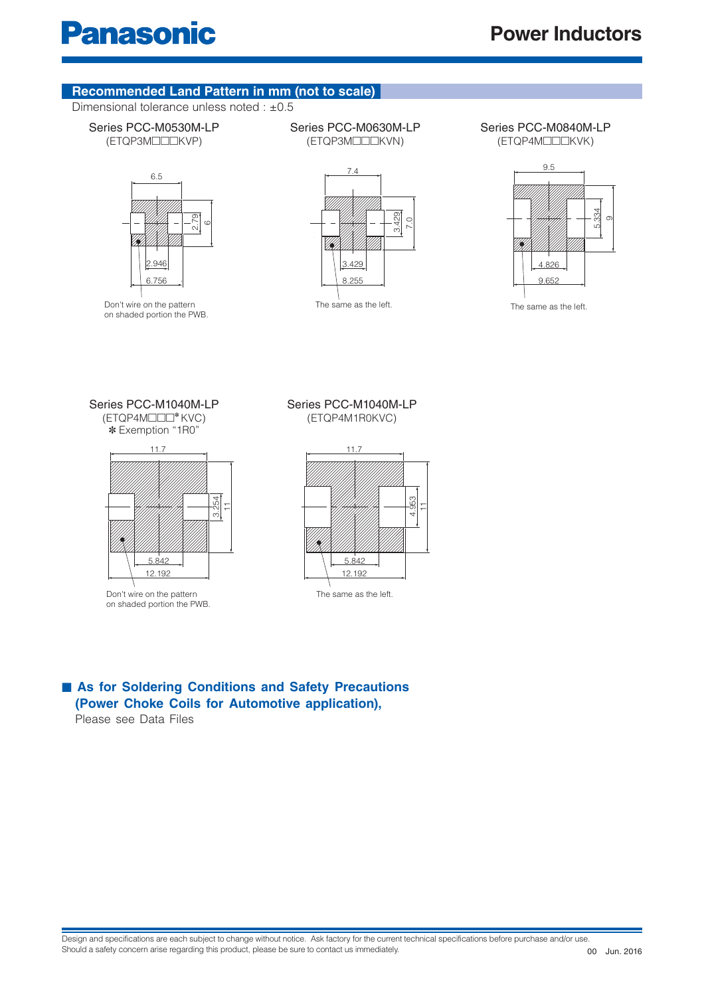#### **Recommended Land Pattern in mm (not to scale)**

Dimensional tolerance unless noted : +0.5

#### Series PCC-M0530M-LP (ETQP3M□□□KVP)



Don't wire on the pattern on shaded portion the PWB. Series PCC-M0630M-LP (ETQP3M□□□KVN)

Series PCC-M0840M-LP (ETQP4M□□□KVK)



The same as the left. The same as the left.

Series PCC-M1040M-LP (ETQP4M□□□✽ KVC)

✽ Exemption "1R0"



on shaded portion the PWB.

#### Series PCC-M1040M-LP (ETQP4M1R0KVC)

8.255

3.429  $\subset$ 



■ As for Soldering Conditions and Safety Precautions  **(Power Choke Coils for Automotive application),**

Please see Data Files